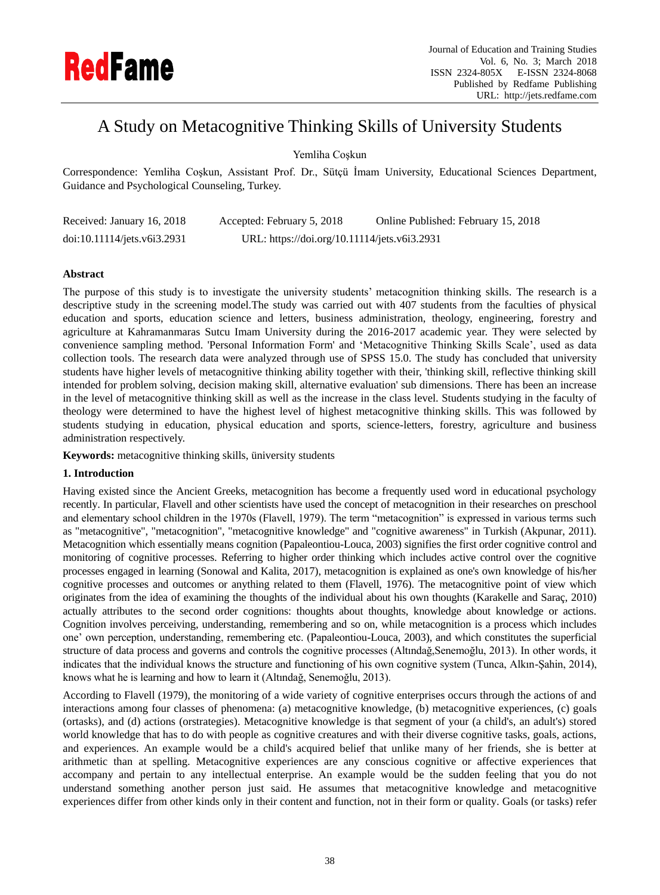

# A Study on Metacognitive Thinking Skills of University Students

Yemliha Coşkun

Correspondence: Yemliha Coşkun, Assistant Prof. Dr., Sütçü İmam University, Educational Sciences Department, Guidance and Psychological Counseling, Turkey.

| Received: January 16, 2018  | Accepted: February 5, 2018                   | Online Published: February 15, 2018 |
|-----------------------------|----------------------------------------------|-------------------------------------|
| doi:10.11114/jets.v6i3.2931 | URL: https://doi.org/10.11114/jets.v6i3.2931 |                                     |

## **Abstract**

The purpose of this study is to investigate the university students" metacognition thinking skills. The research is a descriptive study in the screening model.The study was carried out with 407 students from the faculties of physical education and sports, education science and letters, business administration, theology, engineering, forestry and agriculture at Kahramanmaras Sutcu Imam University during the 2016-2017 academic year. They were selected by convenience sampling method. 'Personal Information Form' and "Metacognitive Thinking Skills Scale", used as data collection tools. The research data were analyzed through use of SPSS 15.0. The study has concluded that university students have higher levels of metacognitive thinking ability together with their, 'thinking skill, reflective thinking skill intended for problem solving, decision making skill, alternative evaluation' sub dimensions. There has been an increase in the level of metacognitive thinking skill as well as the increase in the class level. Students studying in the faculty of theology were determined to have the highest level of highest metacognitive thinking skills. This was followed by students studying in education, physical education and sports, science-letters, forestry, agriculture and business administration respectively.

**Keywords:** metacognitive thinking skills, üniversity students

# **1. Introduction**

Having existed since the Ancient Greeks, metacognition has become a frequently used word in educational psychology recently. In particular, Flavell and other scientists have used the concept of metacognition in their researches on preschool and elementary school children in the 1970s (Flavell, 1979). The term "metacognition" is expressed in various terms such as "metacognitive", "metacognition", "metacognitive knowledge" and "cognitive awareness" in Turkish (Akpunar, 2011). Metacognition which essentially means cognition (Papaleontiou-Louca, 2003) signifies the first order cognitive control and monitoring of cognitive processes. Referring to higher order thinking which includes active control over the cognitive processes engaged in learning (Sonowal and Kalita, 2017), metacognition is explained as one's own knowledge of his/her cognitive processes and outcomes or anything related to them (Flavell, 1976). The metacognitive point of view which originates from the idea of examining the thoughts of the individual about his own thoughts (Karakelle and Saraç, 2010) actually attributes to the second order cognitions: thoughts about thoughts, knowledge about knowledge or actions. Cognition involves perceiving, understanding, remembering and so on, while metacognition is a process which includes one" own perception, understanding, remembering etc. (Papaleontiou-Louca, 2003), and which constitutes the superficial structure of data process and governs and controls the cognitive processes (Altındağ,Senemoğlu, 2013). In other words, it indicates that the individual knows the structure and functioning of his own cognitive system (Tunca, Alkın-Şahin, 2014), knows what he is learning and how to learn it (Altındağ, Senemoğlu, 2013).

According to Flavell (1979), the monitoring of a wide variety of cognitive enterprises occurs through the actions of and interactions among four classes of phenomena: (a) metacognitive knowledge, (b) metacognitive experiences, (c) goals (ortasks), and (d) actions (orstrategies). Metacognitive knowledge is that segment of your (a child's, an adult's) stored world knowledge that has to do with people as cognitive creatures and with their diverse cognitive tasks, goals, actions, and experiences. An example would be a child's acquired belief that unlike many of her friends, she is better at arithmetic than at spelling. Metacognitive experiences are any conscious cognitive or affective experiences that accompany and pertain to any intellectual enterprise. An example would be the sudden feeling that you do not understand something another person just said. He assumes that metacognitive knowledge and metacognitive experiences differ from other kinds only in their content and function, not in their form or quality. Goals (or tasks) refer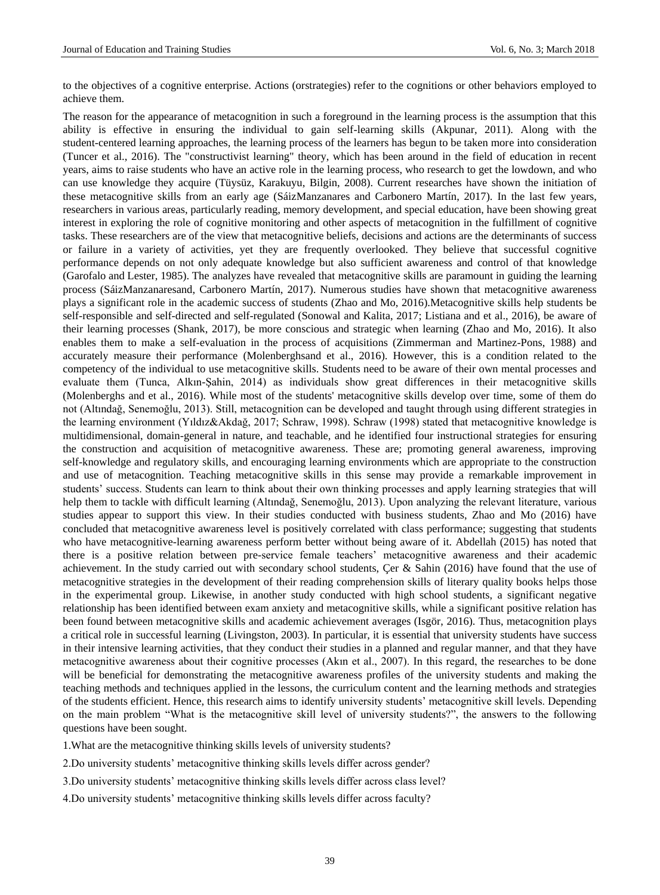to the objectives of a cognitive enterprise. Actions (orstrategies) refer to the cognitions or other behaviors employed to achieve them.

The reason for the appearance of metacognition in such a foreground in the learning process is the assumption that this ability is effective in ensuring the individual to gain self-learning skills (Akpunar, 2011). Along with the student-centered learning approaches, the learning process of the learners has begun to be taken more into consideration (Tuncer et al., 2016). The "constructivist learning" theory, which has been around in the field of education in recent years, aims to raise students who have an active role in the learning process, who research to get the lowdown, and who can use knowledge they acquire (Tüysüz, Karakuyu, Bilgin, 2008). Current researches have shown the initiation of these metacognitive skills from an early age (S azManzanares and Carbonero Mart n, 2017). In the last few years, researchers in various areas, particularly reading, memory development, and special education, have been showing great interest in exploring the role of cognitive monitoring and other aspects of metacognition in the fulfillment of cognitive tasks. These researchers are of the view that metacognitive beliefs, decisions and actions are the determinants of success or failure in a variety of activities, yet they are frequently overlooked. They believe that successful cognitive performance depends on not only adequate knowledge but also sufficient awareness and control of that knowledge (Garofalo and Lester, 1985). The analyzes have revealed that metacognitive skills are paramount in guiding the learning process (SázManzanaresand, Carbonero Mart n, 2017). Numerous studies have shown that metacognitive awareness plays a significant role in the academic success of students (Zhao and Mo, 2016).Metacognitive skills help students be self-responsible and self-directed and self-regulated (Sonowal and Kalita, 2017; Listiana and et al., 2016), be aware of their learning processes (Shank, 2017), be more conscious and strategic when learning (Zhao and Mo, 2016). It also enables them to make a self-evaluation in the process of acquisitions (Zimmerman and Martinez-Pons, 1988) and accurately measure their performance (Molenberghsand et al., 2016). However, this is a condition related to the competency of the individual to use metacognitive skills. Students need to be aware of their own mental processes and evaluate them (Tunca, Alkın-Şahin, 2014) as individuals show great differences in their metacognitive skills (Molenberghs and et al., 2016). While most of the students' metacognitive skills develop over time, some of them do not (Altındağ, Senemoğlu, 2013). Still, metacognition can be developed and taught through using different strategies in the learning environment (Yıldız&Akdağ, 2017; Schraw, 1998). Schraw (1998) stated that metacognitive knowledge is multidimensional, domain-general in nature, and teachable, and he identified four instructional strategies for ensuring the construction and acquisition of metacognitive awareness. These are; promoting general awareness, improving self-knowledge and regulatory skills, and encouraging learning environments which are appropriate to the construction and use of metacognition. Teaching metacognitive skills in this sense may provide a remarkable improvement in students" success. Students can learn to think about their own thinking processes and apply learning strategies that will help them to tackle with difficult learning (Altındağ, Senemoğlu, 2013). Upon analyzing the relevant literature, various studies appear to support this view. In their studies conducted with business students, Zhao and Mo (2016) have concluded that metacognitive awareness level is positively correlated with class performance; suggesting that students who have metacognitive-learning awareness perform better without being aware of it. Abdellah (2015) has noted that there is a positive relation between pre-service female teachers" metacognitive awareness and their academic achievement. In the study carried out with secondary school students, Çer & Sahin (2016) have found that the use of metacognitive strategies in the development of their reading comprehension skills of literary quality books helps those in the experimental group. Likewise, in another study conducted with high school students, a significant negative relationship has been identified between exam anxiety and metacognitive skills, while a significant positive relation has been found between metacognitive skills and academic achievement averages (Isgör, 2016). Thus, metacognition plays a critical role in successful learning (Livingston, 2003). In particular, it is essential that university students have success in their intensive learning activities, that they conduct their studies in a planned and regular manner, and that they have metacognitive awareness about their cognitive processes (Akın et al., 2007). In this regard, the researches to be done will be beneficial for demonstrating the metacognitive awareness profiles of the university students and making the teaching methods and techniques applied in the lessons, the curriculum content and the learning methods and strategies of the students efficient. Hence, this research aims to identify university students" metacognitive skill levels. Depending on the main problem "What is the metacognitive skill level of university students?", the answers to the following questions have been sought.

1.What are the metacognitive thinking skills levels of university students?

2.Do university students" metacognitive thinking skills levels differ across gender?

- 3.Do university students" metacognitive thinking skills levels differ across class level?
- 4. Do university students' metacognitive thinking skills levels differ across faculty?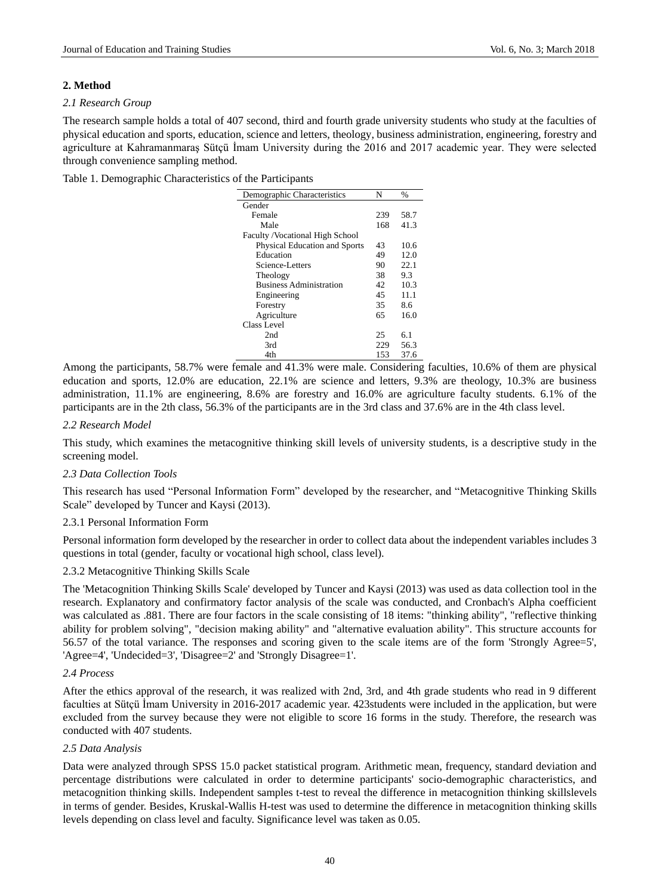#### **2. Method**

#### *2.1 Research Group*

The research sample holds a total of 407 second, third and fourth grade university students who study at the faculties of physical education and sports, education, science and letters, theology, business administration, engineering, forestry and agriculture at Kahramanmaraş Sütçü İmam University during the 2016 and 2017 academic year. They were selected through convenience sampling method.

Table 1. Demographic Characteristics of the Participants

| Demographic Characteristics      | N   | $\frac{0}{0}$ |
|----------------------------------|-----|---------------|
| Gender                           |     |               |
| Female                           | 239 | 58.7          |
| Male                             | 168 | 41.3          |
| Faculty / Vocational High School |     |               |
| Physical Education and Sports    | 43  | 10.6          |
| Education                        | 49  | 12.0          |
| Science-Letters                  | 90  | 22.1          |
| Theology                         | 38  | 9.3           |
| <b>Business Administration</b>   | 42  | 10.3          |
| Engineering                      | 45  | 11.1          |
| Forestry                         | 35  | 8.6           |
| Agriculture                      | 65  | 16.0          |
| Class Level                      |     |               |
| 2nd                              | 25  | 6.1           |
| 3rd                              | 229 | 56.3          |
| 4th                              | 153 | 37.6          |

Among the participants, 58.7% were female and 41.3% were male. Considering faculties, 10.6% of them are physical education and sports, 12.0% are education, 22.1% are science and letters, 9.3% are theology, 10.3% are business administration, 11.1% are engineering, 8.6% are forestry and 16.0% are agriculture faculty students. 6.1% of the participants are in the 2th class, 56.3% of the participants are in the 3rd class and 37.6% are in the 4th class level.

## *2.2 Research Model*

This study, which examines the metacognitive thinking skill levels of university students, is a descriptive study in the screening model.

#### *2.3 Data Collection Tools*

This research has used "Personal Information Form" developed by the researcher, and "Metacognitive Thinking Skills Scale" developed by Tuncer and Kaysi (2013).

#### 2.3.1 Personal Information Form

Personal information form developed by the researcher in order to collect data about the independent variables includes 3 questions in total (gender, faculty or vocational high school, class level).

#### 2.3.2 Metacognitive Thinking Skills Scale

The 'Metacognition Thinking Skills Scale' developed by Tuncer and Kaysi (2013) was used as data collection tool in the research. Explanatory and confirmatory factor analysis of the scale was conducted, and Cronbach's Alpha coefficient was calculated as .881. There are four factors in the scale consisting of 18 items: "thinking ability", "reflective thinking ability for problem solving", "decision making ability" and "alternative evaluation ability". This structure accounts for 56.57 of the total variance. The responses and scoring given to the scale items are of the form 'Strongly Agree=5', 'Agree=4', 'Undecided=3', 'Disagree=2' and 'Strongly Disagree=1'.

# *2.4 Process*

After the ethics approval of the research, it was realized with 2nd, 3rd, and 4th grade students who read in 9 different faculties at Sütçü İmam University in 2016-2017 academic year. 423students were included in the application, but were excluded from the survey because they were not eligible to score 16 forms in the study. Therefore, the research was conducted with 407 students.

#### *2.5 Data Analysis*

Data were analyzed through SPSS 15.0 packet statistical program. Arithmetic mean, frequency, standard deviation and percentage distributions were calculated in order to determine participants' socio-demographic characteristics, and metacognition thinking skills. Independent samples t-test to reveal the difference in metacognition thinking skillslevels in terms of gender. Besides, Kruskal-Wallis H-test was used to determine the difference in metacognition thinking skills levels depending on class level and faculty. Significance level was taken as 0.05.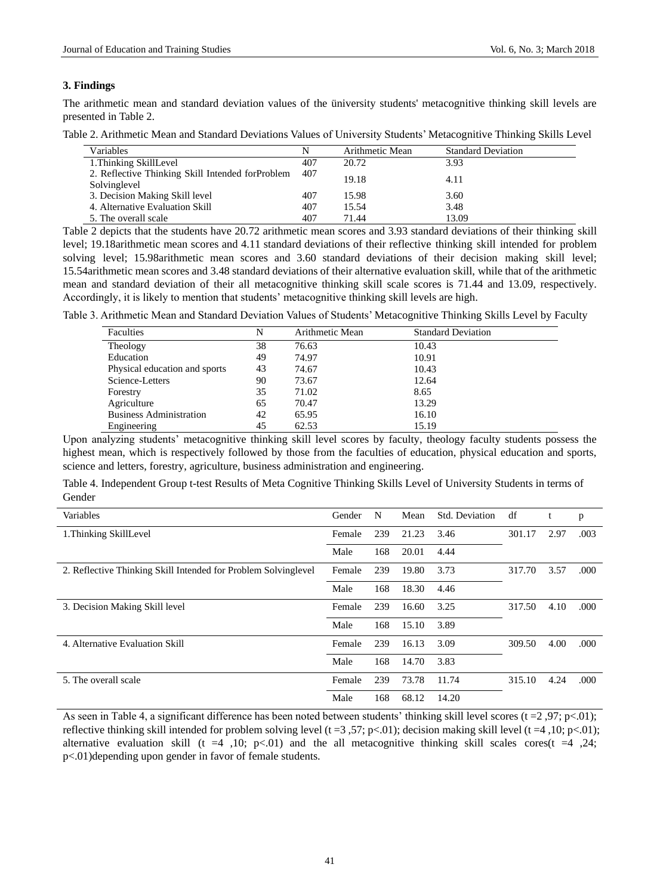#### **3. Findings**

The arithmetic mean and standard deviation values of the üniversity students' metacognitive thinking skill levels are presented in Table 2.

| Table 2. Arithmetic Mean and Standard Deviations Values of University Students' Metacognitive Thinking Skills Level |  |  |  |
|---------------------------------------------------------------------------------------------------------------------|--|--|--|
|---------------------------------------------------------------------------------------------------------------------|--|--|--|

| Variables                                                         |     | Arithmetic Mean | <b>Standard Deviation</b> |
|-------------------------------------------------------------------|-----|-----------------|---------------------------|
| 1. Thinking SkillLevel                                            | 407 | 20.72           | 3.93                      |
| 2. Reflective Thinking Skill Intended for Problem<br>Solvinglevel | 407 | 19.18           | 4.11                      |
| 3. Decision Making Skill level                                    | 407 | 15.98           | 3.60                      |
| 4. Alternative Evaluation Skill                                   | 407 | 15.54           | 3.48                      |
| 5. The overall scale                                              | 407 | 71.44           | 13.09                     |

Table 2 depicts that the students have 20.72 arithmetic mean scores and 3.93 standard deviations of their thinking skill level; 19.18arithmetic mean scores and 4.11 standard deviations of their reflective thinking skill intended for problem solving level; 15.98arithmetic mean scores and 3.60 standard deviations of their decision making skill level; 15.54arithmetic mean scores and 3.48 standard deviations of their alternative evaluation skill, while that of the arithmetic mean and standard deviation of their all metacognitive thinking skill scale scores is 71.44 and 13.09, respectively. Accordingly, it is likely to mention that students" metacognitive thinking skill levels are high.

Table 3. Arithmetic Mean and Standard Deviation Values of Students" Metacognitive Thinking Skills Level by Faculty

| Faculties                      | N  | Arithmetic Mean | <b>Standard Deviation</b> |
|--------------------------------|----|-----------------|---------------------------|
| Theology                       | 38 | 76.63           | 10.43                     |
| Education                      | 49 | 74.97           | 10.91                     |
| Physical education and sports  | 43 | 74.67           | 10.43                     |
| Science-Letters                | 90 | 73.67           | 12.64                     |
| Forestry                       | 35 | 71.02           | 8.65                      |
| Agriculture                    | 65 | 70.47           | 13.29                     |
| <b>Business Administration</b> | 42 | 65.95           | 16.10                     |
| Engineering                    | 45 | 62.53           | 15.19                     |

Upon analyzing students" metacognitive thinking skill level scores by faculty, theology faculty students possess the highest mean, which is respectively followed by those from the faculties of education, physical education and sports, science and letters, forestry, agriculture, business administration and engineering.

Table 4. Independent Group t-test Results of Meta Cognitive Thinking Skills Level of University Students in terms of Gender

| Variables                                                      | Gender | N   | Mean  | Std. Deviation | df     | t    | p    |
|----------------------------------------------------------------|--------|-----|-------|----------------|--------|------|------|
| 1. Thinking SkillLevel                                         | Female | 239 | 21.23 | 3.46           | 301.17 | 2.97 | .003 |
|                                                                | Male   | 168 | 20.01 | 4.44           |        |      |      |
| 2. Reflective Thinking Skill Intended for Problem Solvinglevel | Female | 239 | 19.80 | 3.73           | 317.70 | 3.57 | .000 |
|                                                                | Male   | 168 | 18.30 | 4.46           |        |      |      |
| 3. Decision Making Skill level                                 | Female | 239 | 16.60 | 3.25           | 317.50 | 4.10 | .000 |
|                                                                | Male   | 168 | 15.10 | 3.89           |        |      |      |
| 4. Alternative Evaluation Skill                                | Female | 239 | 16.13 | 3.09           | 309.50 | 4.00 | .000 |
|                                                                | Male   | 168 | 14.70 | 3.83           |        |      |      |
| 5. The overall scale                                           | Female | 239 | 73.78 | 11.74          | 315.10 | 4.24 | .000 |
|                                                                | Male   | 168 | 68.12 | 14.20          |        |      |      |

As seen in Table 4, a significant difference has been noted between students' thinking skill level scores (t = 2,97; p<.01); reflective thinking skill intended for problem solving level (t =3,57; p<.01); decision making skill level (t =4, 10; p<.01); alternative evaluation skill (t =4 ,10; p<.01) and the all metacognitive thinking skill scales cores(t =4 ,24; p<.01)depending upon gender in favor of female students.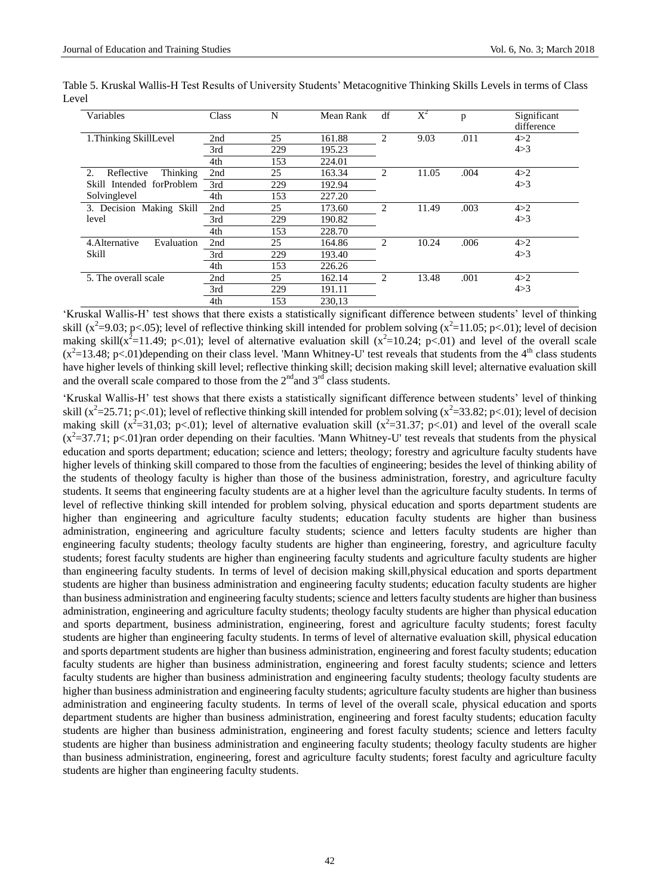| Variables                    | Class | N   | Mean Rank | df             | $\mathrm{X}^2$ | p    | Significant<br>difference |
|------------------------------|-------|-----|-----------|----------------|----------------|------|---------------------------|
| 1. Thinking SkillLevel       | 2nd   | 25  | 161.88    | $\overline{c}$ | 9.03           | .011 | 4 > 2                     |
|                              | 3rd   | 229 | 195.23    |                |                |      | 4 > 3                     |
|                              | 4th   | 153 | 224.01    |                |                |      |                           |
| Reflective<br>Thinking<br>2. | 2nd   | 25  | 163.34    | $\overline{c}$ | 11.05          | .004 | 4 > 2                     |
| forProblem<br>Skill Intended | 3rd   | 229 | 192.94    |                |                |      | 4 > 3                     |
| Solvinglevel                 | 4th   | 153 | 227.20    |                |                |      |                           |
| 3. Decision Making Skill     | 2nd   | 25  | 173.60    | 2              | 11.49          | .003 | 4 > 2                     |
| level                        | 3rd   | 229 | 190.82    |                |                |      | 4 > 3                     |
|                              | 4th   | 153 | 228.70    |                |                |      |                           |
| 4. Alternative<br>Evaluation | 2nd   | 25  | 164.86    | $\overline{c}$ | 10.24          | .006 | 4 > 2                     |
| Skill                        | 3rd   | 229 | 193.40    |                |                |      | 4 > 3                     |
|                              | 4th   | 153 | 226.26    |                |                |      |                           |
| 5. The overall scale         | 2nd   | 25  | 162.14    | 2              | 13.48          | .001 | 4 > 2                     |
|                              | 3rd   | 229 | 191.11    |                |                |      | 4 > 3                     |
|                              | 4th   | 153 | 230.13    |                |                |      |                           |

Table 5. Kruskal Wallis-H Test Results of University Students" Metacognitive Thinking Skills Levels in terms of Class Level

'Kruskal Wallis-H' test shows that there exists a statistically significant difference between students' level of thinking skill ( $x^2$ =9.03; p<.05); level of reflective thinking skill intended for problem solving ( $x^2$ =11.05; p<.01); level of decision making skill( $x^2$ =11.49; p<.01); level of alternative evaluation skill ( $x^2$ =10.24; p<.01) and level of the overall scale  $(x^2=13.48; p<.01)$ depending on their class level. 'Mann Whitney-U' test reveals that students from the 4<sup>th</sup> class students have higher levels of thinking skill level; reflective thinking skill; decision making skill level; alternative evaluation skill and the overall scale compared to those from the  $2<sup>nd</sup>$  and  $3<sup>rd</sup>$  class students.

"Kruskal Wallis-H" test shows that there exists a statistically significant difference between students" level of thinking skill ( $x^2$ =25.71; p<.01); level of reflective thinking skill intended for problem solving ( $x^2$ =33.82; p<.01); level of decision making skill ( $x^2$ =31,03; p<.01); level of alternative evaluation skill ( $x^2$ =31.37; p<.01) and level of the overall scale  $(x^2=37.71; p<.01$ )ran order depending on their faculties. 'Mann Whitney-U' test reveals that students from the physical education and sports department; education; science and letters; theology; forestry and agriculture faculty students have higher levels of thinking skill compared to those from the faculties of engineering; besides the level of thinking ability of the students of theology faculty is higher than those of the business administration, forestry, and agriculture faculty students. It seems that engineering faculty students are at a higher level than the agriculture faculty students. In terms of level of reflective thinking skill intended for problem solving, physical education and sports department students are higher than engineering and agriculture faculty students; education faculty students are higher than business administration, engineering and agriculture faculty students; science and letters faculty students are higher than engineering faculty students; theology faculty students are higher than engineering, forestry, and agriculture faculty students; forest faculty students are higher than engineering faculty students and agriculture faculty students are higher than engineering faculty students. In terms of level of decision making skill,physical education and sports department students are higher than business administration and engineering faculty students; education faculty students are higher than business administration and engineering faculty students; science and letters faculty students are higher than business administration, engineering and agriculture faculty students; theology faculty students are higher than physical education and sports department, business administration, engineering, forest and agriculture faculty students; forest faculty students are higher than engineering faculty students. In terms of level of alternative evaluation skill, physical education and sports department students are higher than business administration, engineering and forest faculty students; education faculty students are higher than business administration, engineering and forest faculty students; science and letters faculty students are higher than business administration and engineering faculty students; theology faculty students are higher than business administration and engineering faculty students; agriculture faculty students are higher than business administration and engineering faculty students. In terms of level of the overall scale, physical education and sports department students are higher than business administration, engineering and forest faculty students; education faculty students are higher than business administration, engineering and forest faculty students; science and letters faculty students are higher than business administration and engineering faculty students; theology faculty students are higher than business administration, engineering, forest and agriculture faculty students; forest faculty and agriculture faculty students are higher than engineering faculty students.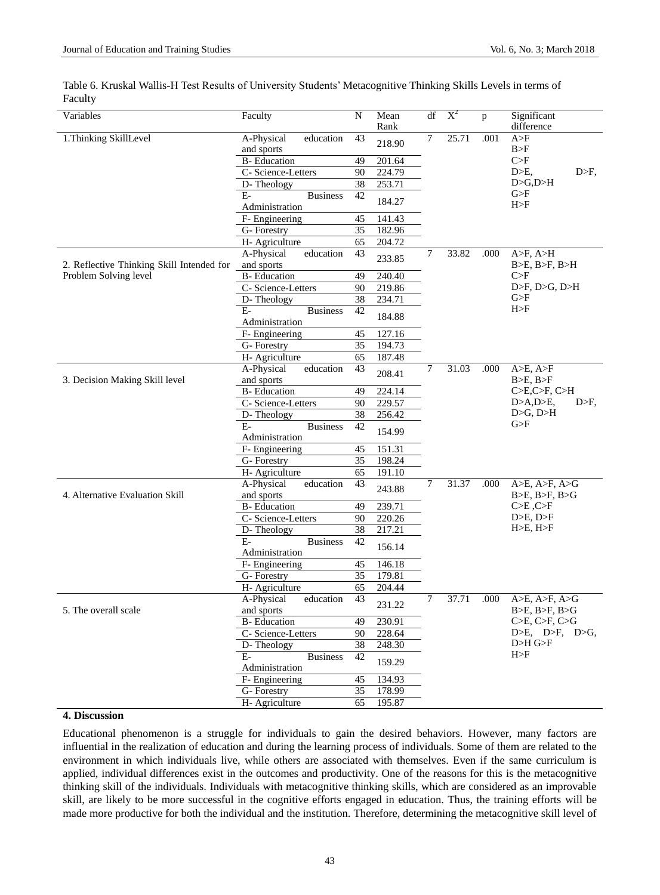| Variables                                 | Faculty                  | N            | Mean<br>Rank | df | $X^2$          | $\mathbf{p}$ | Significant<br>difference |
|-------------------------------------------|--------------------------|--------------|--------------|----|----------------|--------------|---------------------------|
|                                           | education                |              |              | 7  | 25.71          | .001         | A>F                       |
| 1. Thinking SkillLevel                    | A-Physical<br>and sports | 43           | 218.90       |    |                |              | B>F                       |
|                                           | <b>B-Education</b>       | 49           | 201.64       |    |                |              | C>F                       |
|                                           | C- Science-Letters       | 90           | 224.79       |    |                |              | $D>E$ ,<br>$D>F$ ,        |
|                                           | D-Theology               | 38           | 253.71       |    |                |              | D>G,D>H                   |
|                                           | $E-$<br><b>Business</b>  | 42           |              |    |                |              | G>F                       |
|                                           | Administration           |              | 184.27       |    |                |              | H>F                       |
|                                           | F- Engineering           | 45           | 141.43       |    |                |              |                           |
|                                           | G-Forestry               | 35           | 182.96       |    |                |              |                           |
|                                           | H- Agriculture           | 65           | 204.72       |    |                |              |                           |
|                                           | A-Physical<br>education  | 43           | 233.85       | 7  | 33.82          | A>F, A/H     |                           |
| 2. Reflective Thinking Skill Intended for | and sports               |              |              |    |                |              | B>E, B>F, B>H             |
| Problem Solving level                     | <b>B-Education</b>       | 49           | 240.40       |    |                |              | C>F                       |
|                                           | C- Science-Letters       | 90           | 219.86       |    |                |              | D>F, D>G, D>H             |
|                                           | D-Theology               | 38           | 234.71       |    |                |              | G>F                       |
|                                           | $E-$<br><b>Business</b>  | 42           | 184.88       |    |                |              | H>F                       |
|                                           | Administration           |              |              |    |                |              |                           |
|                                           | F- Engineering           | 45           | 127.16       |    |                |              |                           |
|                                           | G-Forestry               | 35           | 194.73       |    |                |              |                           |
|                                           | H- Agriculture           | 65           | 187.48       |    |                |              |                           |
|                                           | education<br>A-Physical  | 43           | 208.41       | 7  | 31.03          | .000         | A>E, A>F                  |
| 3. Decision Making Skill level            | and sports               |              |              |    |                |              | B>E, B>F                  |
|                                           | <b>B-Education</b>       | 49           | 224.14       |    |                |              | C>E, C>F, C>H             |
|                                           | C- Science-Letters       | 90           | 229.57       |    |                |              | D>A,D>E,<br>$D>F$ ,       |
|                                           | D-Theology               | 38           | 256.42       |    |                |              | D>G, D>H                  |
|                                           | Е-<br><b>Business</b>    | 42           | 154.99       |    |                |              | G>F                       |
|                                           | Administration           |              |              |    |                |              |                           |
|                                           | F- Engineering           | 45           | 151.31       |    |                |              |                           |
|                                           | G- Forestry              | 35           | 198.24       |    |                |              |                           |
|                                           | H- Agriculture           | 65           | 191.10       |    |                |              |                           |
|                                           | A-Physical<br>education  | 43           | 243.88       | 7  | 31.37          | .000         | $A>E$ , $A>F$ , $A>G$     |
| 4. Alternative Evaluation Skill           | and sports               |              |              |    |                |              | $B>E$ , $B>F$ , $B>G$     |
|                                           | <b>B-Education</b>       | 49           | 239.71       |    |                |              | $C>E$ , $C>F$             |
|                                           | C- Science-Letters       | 90           | 220.26       |    |                |              |                           |
|                                           | D-Theology               | 38           | 217.21       |    |                |              | H>E, H>F                  |
|                                           | $E-$<br><b>Business</b>  | 42           | 156.14       |    |                |              |                           |
|                                           | Administration           |              |              |    |                |              |                           |
|                                           | F- Engineering           | 45           | 146.18       |    |                |              |                           |
|                                           | G- Forestry              | 35           | 179.81       |    |                |              |                           |
|                                           | H- Agriculture           | 65           | 204.44       |    |                |              |                           |
|                                           | A-Physical<br>education  | 43           | 231.22       | 7  | 37.71          | .000         | A>E, A>F, A>G             |
| 5. The overall scale                      | and sports               |              |              |    |                |              | B>E, B>F, B>G             |
|                                           | <b>B-Education</b>       | 49           | 230.91       |    |                |              | C>E, C>F, C>G             |
|                                           | C- Science-Letters       | 228.64<br>90 |              |    | D>E, D>F, D>G, |              |                           |
|                                           | D-Theology               | 38           | 248.30       |    |                |              | D>H G>F                   |
|                                           | $E-$<br><b>Business</b>  | 42           | 159.29       |    |                |              | H>F                       |
|                                           | Administration           |              |              |    |                |              |                           |
|                                           | F- Engineering           | 45           | 134.93       |    |                |              |                           |
|                                           | G-Forestry               | 35           | 178.99       |    |                |              |                           |
|                                           | H- Agriculture           | 65           | 195.87       |    |                |              |                           |

Table 6. Kruskal Wallis-H Test Results of University Students" Metacognitive Thinking Skills Levels in terms of Faculty

#### **4. Discussion**

Educational phenomenon is a struggle for individuals to gain the desired behaviors. However, many factors are influential in the realization of education and during the learning process of individuals. Some of them are related to the environment in which individuals live, while others are associated with themselves. Even if the same curriculum is applied, individual differences exist in the outcomes and productivity. One of the reasons for this is the metacognitive thinking skill of the individuals. Individuals with metacognitive thinking skills, which are considered as an improvable skill, are likely to be more successful in the cognitive efforts engaged in education. Thus, the training efforts will be made more productive for both the individual and the institution. Therefore, determining the metacognitive skill level of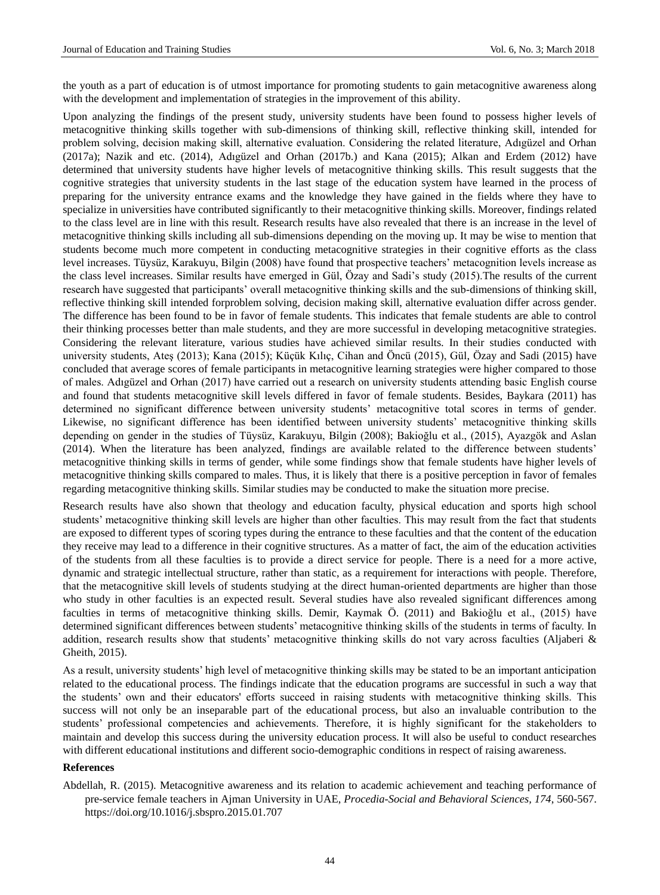the youth as a part of education is of utmost importance for promoting students to gain metacognitive awareness along with the development and implementation of strategies in the improvement of this ability.

Upon analyzing the findings of the present study, university students have been found to possess higher levels of metacognitive thinking skills together with sub-dimensions of thinking skill, reflective thinking skill, intended for problem solving, decision making skill, alternative evaluation. Considering the related literature, Adıgüzel and Orhan (2017a); Nazik and etc. (2014), Adıgüzel and Orhan (2017b.) and Kana (2015); Alkan and Erdem (2012) have determined that university students have higher levels of metacognitive thinking skills. This result suggests that the cognitive strategies that university students in the last stage of the education system have learned in the process of preparing for the university entrance exams and the knowledge they have gained in the fields where they have to specialize in universities have contributed significantly to their metacognitive thinking skills. Moreover, findings related to the class level are in line with this result. Research results have also revealed that there is an increase in the level of metacognitive thinking skills including all sub-dimensions depending on the moving up. It may be wise to mention that students become much more competent in conducting metacognitive strategies in their cognitive efforts as the class level increases. Tüysüz, Karakuyu, Bilgin (2008) have found that prospective teachers" metacognition levels increase as the class level increases. Similar results have emerged in Gül, Özay and Sadi"s study (2015).The results of the current research have suggested that participants" overall metacognitive thinking skills and the sub-dimensions of thinking skill, reflective thinking skill intended forproblem solving, decision making skill, alternative evaluation differ across gender. The difference has been found to be in favor of female students. This indicates that female students are able to control their thinking processes better than male students, and they are more successful in developing metacognitive strategies. Considering the relevant literature, various studies have achieved similar results. In their studies conducted with university students, Ateş (2013); Kana (2015); Küçük Kılıç, Cihan and Öncü (2015), Gül, Özay and Sadi (2015) have concluded that average scores of female participants in metacognitive learning strategies were higher compared to those of males. Adıgüzel and Orhan (2017) have carried out a research on university students attending basic English course and found that students metacognitive skill levels differed in favor of female students. Besides, Baykara (2011) has determined no significant difference between university students" metacognitive total scores in terms of gender. Likewise, no significant difference has been identified between university students" metacognitive thinking skills depending on gender in the studies of Tüysüz, Karakuyu, Bilgin (2008); Bakioğlu et al., (2015), Ayazgök and Aslan (2014). When the literature has been analyzed, findings are available related to the difference between students" metacognitive thinking skills in terms of gender, while some findings show that female students have higher levels of metacognitive thinking skills compared to males. Thus, it is likely that there is a positive perception in favor of females regarding metacognitive thinking skills. Similar studies may be conducted to make the situation more precise.

Research results have also shown that theology and education faculty, physical education and sports high school students" metacognitive thinking skill levels are higher than other faculties. This may result from the fact that students are exposed to different types of scoring types during the entrance to these faculties and that the content of the education they receive may lead to a difference in their cognitive structures. As a matter of fact, the aim of the education activities of the students from all these faculties is to provide a direct service for people. There is a need for a more active, dynamic and strategic intellectual structure, rather than static, as a requirement for interactions with people. Therefore, that the metacognitive skill levels of students studying at the direct human-oriented departments are higher than those who study in other faculties is an expected result. Several studies have also revealed significant differences among faculties in terms of metacognitive thinking skills. Demir, Kaymak Ö. (2011) and Bakioğlu et al., (2015) have determined significant differences between students" metacognitive thinking skills of the students in terms of faculty. In addition, research results show that students' metacognitive thinking skills do not vary across faculties (Aljaberi & Gheith, 2015).

As a result, university students" high level of metacognitive thinking skills may be stated to be an important anticipation related to the educational process. The findings indicate that the education programs are successful in such a way that the students" own and their educators' efforts succeed in raising students with metacognitive thinking skills. This success will not only be an inseparable part of the educational process, but also an invaluable contribution to the students" professional competencies and achievements. Therefore, it is highly significant for the stakeholders to maintain and develop this success during the university education process. It will also be useful to conduct researches with different educational institutions and different socio-demographic conditions in respect of raising awareness.

## **References**

Abdellah, R. (2015). Metacognitive awareness and its relation to academic achievement and teaching performance of pre-service female teachers in Ajman University in UAE, *Procedia-Social and Behavioral Sciences, 174*, 560-567. <https://doi.org/10.1016/j.sbspro.2015.01.707>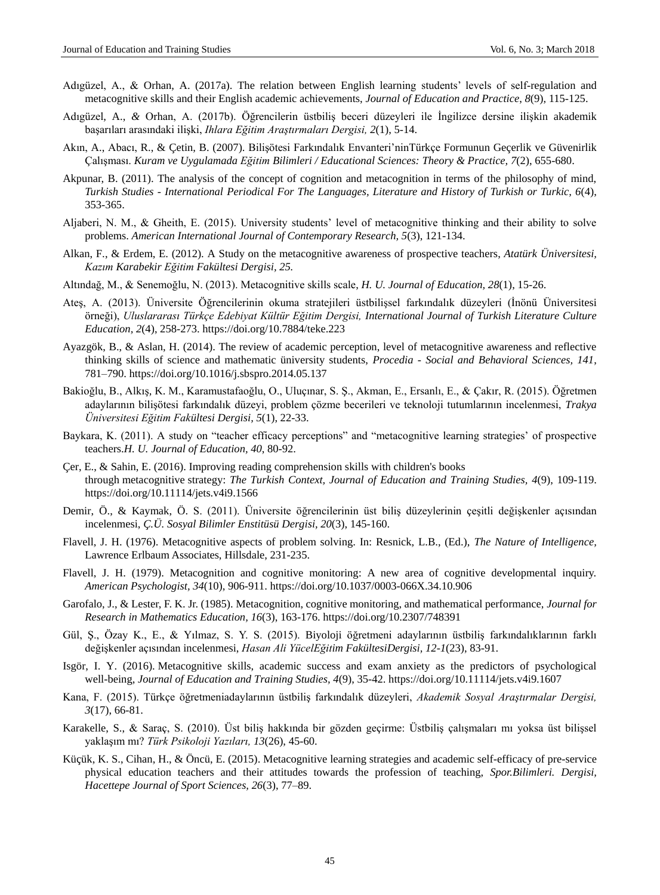- Adıgüzel, A., & Orhan, A. (2017a). The relation between English learning students" levels of self-regulation and metacognitive skills and their English academic achievements, *Journal of Education and Practice*, *8*(9), 115-125.
- Adıgüzel, A., *&* Orhan, A. (2017b). Öğrencilerin üstbiliş beceri düzeyleri ile İngilizce dersine ilişkin akademik başarıları arasındaki ilişki, *Ihlara Eğitim Araştırmaları Dergisi, 2*[\(1\),](http://dergipark.gov.tr/ihead/issue/30186) 5-14.
- Akın, A., Abacı, R., & Çetin, B. (2007). Bilişötesi Farkındalık Envanteri"ninTürkçe Formunun Geçerlik ve Güvenirlik Çalışması. *Kuram ve Uygulamada Eğitim Bilimleri / Educational Sciences: Theory & Practice, 7*(2), 655-680.
- Akpunar, B. (2011). The analysis of the concept of cognition and metacognition in terms of the philosophy of mind, *Turkish Studies - International Periodical For The Languages, Literature and History of Turkish or Turkic, 6*(4), 353-365.
- Aljaberi, N. M., & Gheith, E. (2015). University students" level of metacognitive thinking and their ability to solve problems. *American International Journal of Contemporary Research, 5*(3), 121-134.
- Alkan, F., & Erdem, E. (2012). A Study on the metacognitive awareness of prospective teachers, *Atatürk Üniversitesi, Kazım Karabekir Eğitim Fakültesi Dergisi, 25.*
- Altındağ, M., & Senemoğlu, N. (2013). Metacognitive skills scale, *H. U. Journal of Education, 28*(1), 15-26.
- Ateş, A. (2013). Üniversite Öğrencilerinin okuma stratejileri üstbilişsel farkındalık düzeyleri (İnönü Üniversitesi örneği), *Uluslararası Türkçe Edebiyat Kültür Eğitim Dergisi, International Journal of Turkish Literature Culture Education, 2*(4), 258-273. <https://doi.org/10.7884/teke.223>
- Ayazgök, B., & Aslan, H. (2014). The review of academic perception, level of metacognitive awareness and reflective thinking skills of science and mathematic üniversity students, *Procedia - Social and Behavioral Sciences, 141*, 781–790[. https://doi.org/10.1016/j.sbspro.2014.05.137](https://doi.org/10.1016/j.sbspro.2014.05.137)
- Bakioğlu, B., Alkış, K. M., Karamustafaoğlu, O., Uluçınar, S. Ş., Akman, E., Ersanlı, E., & Çakır, R. (2015). Öğretmen adaylarının bilişötesi farkındalık düzeyi, problem çözme becerileri ve teknoloji tutumlarının incelenmesi, *Trakya Üniversitesi Eğitim Fakültesi Dergisi, 5*(1), 22-33.
- Baykara, K. (2011). A study on "teacher efficacy perceptions" and "metacognitive learning strategies" of prospective teachers.*H. U. Journal of Education, 40*, 80-92.
- Çer, E., & Sahin, E. (2016). Improving reading comprehension skills with children's books through metacognitive strategy: *The Turkish Context, Journal of Education and Training Studies, 4*(9), 109-119. <https://doi.org/10.11114/jets.v4i9.1566>
- Demir, Ö., & Kaymak, Ö. S. (2011). Üniversite öğrencilerinin üst biliş düzeylerinin çeşitli değişkenler açısından incelenmesi, *Ç.Ü. Sosyal Bilimler Enstitüsü Dergisi, 20*(3), 145-160.
- Flavell, J. H. (1976). Metacognitive aspects of problem solving. In: Resnick, L.B., (Ed.), *The Nature of Intelligence,*  Lawrence Erlbaum Associates, Hillsdale, 231-235.
- Flavell, J. H. (1979). Metacognition and cognitive monitoring: A new area of cognitive developmental inquiry. *American Psychologist, 34*(10), 906-911.<https://doi.org/10.1037/0003-066X.34.10.906>
- Garofalo, J., & Lester, F. K. Jr. (1985). Metacognition, cognitive monitoring, and mathematical performance, *Journal for Research in Mathematics Education, 16*(3), 163-176. <https://doi.org/10.2307/748391>
- Gül, Ş., Özay K., E., & Yılmaz, S. Y. S. (2015). Biyoloji öğretmeni adaylarının üstbiliş farkındalıklarının farklı değişkenler açısından incelenmesi, *Hasan Ali YücelEğitim FakültesiDergisi, 12-1*(23), 83-91.
- Isgör, I. Y. (2016). Metacognitive skills, academic success and exam anxiety as the predictors of psychological well-being, *Journal of Education and Training Studies, 4*(9), 35-42.<https://doi.org/10.11114/jets.v4i9.1607>
- Kana, F. (2015). Türkçe öğretmeniadaylarının üstbiliş farkındalık düzeyleri, *Akademik Sosyal Araştırmalar Dergisi, 3*(17), 66-81.
- Karakelle, S., & Saraç, S. (2010). Üst biliş hakkında bir gözden geçirme: Üstbiliş çalışmaları mı yoksa üst bilişsel yaklaşım mı? *Türk Psikoloji Yazıları, 13*(26), 45-60.
- Küçük, K. S., Cihan, H., & Öncü, E. (2015). Metacognitive learning strategies and academic self-efficacy of pre-service physical education teachers and their attitudes towards the profession of teaching, *Spor.Bilimleri. Dergisi, Hacettepe Journal of Sport Sciences, 26*(3), 77–89.